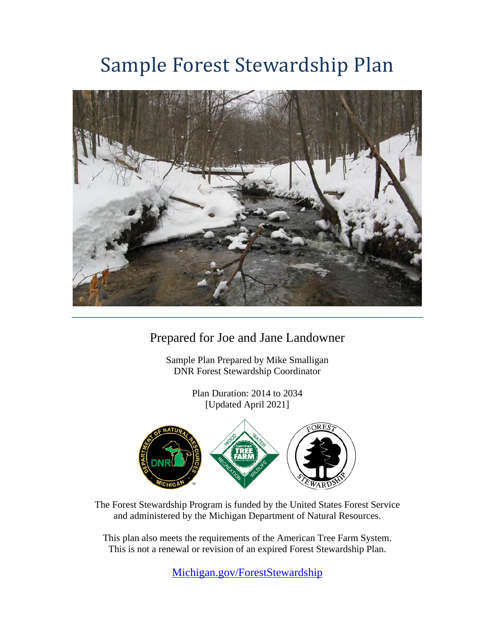# Sample Forest Stewardship Plan



Prepared for Joe and Jane Landowner

Sample Plan Prepared by Mike Smalligan DNR Forest Stewardship Coordinator

> Plan Duration: 2014 to 2034 [Updated April 2021]



The Forest Stewardship Program is funded by the United States Forest Service and administered by the Michigan Department of Natural Resources.

This plan also meets the requirements of the American Tree Farm System. This is not a renewal or revision of an expired Forest Stewardship Plan.

[Michigan.gov/ForestStewardship](http://www.michigan.gov/ForestStewardship)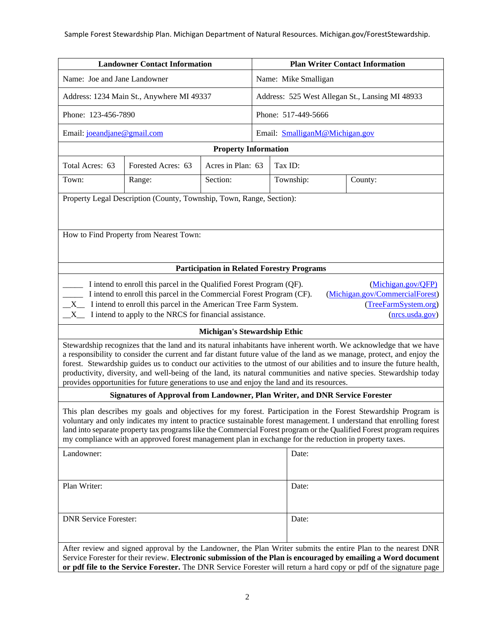#### Sample Forest Stewardship Plan. Michigan Department of Natural Resources. Michigan.gov/ForestStewardship.

| <b>Landowner Contact Information</b>                                                                                                                                                                                                                                                                                                                                                                                                                                                                                                                                                       |                                                                      | <b>Plan Writer Contact Information</b>            |                                                 |         |                                |         |  |
|--------------------------------------------------------------------------------------------------------------------------------------------------------------------------------------------------------------------------------------------------------------------------------------------------------------------------------------------------------------------------------------------------------------------------------------------------------------------------------------------------------------------------------------------------------------------------------------------|----------------------------------------------------------------------|---------------------------------------------------|-------------------------------------------------|---------|--------------------------------|---------|--|
| Name: Joe and Jane Landowner                                                                                                                                                                                                                                                                                                                                                                                                                                                                                                                                                               |                                                                      |                                                   | Name: Mike Smalligan                            |         |                                |         |  |
| Address: 1234 Main St., Anywhere MI 49337                                                                                                                                                                                                                                                                                                                                                                                                                                                                                                                                                  |                                                                      |                                                   | Address: 525 West Allegan St., Lansing MI 48933 |         |                                |         |  |
| Phone: 123-456-7890                                                                                                                                                                                                                                                                                                                                                                                                                                                                                                                                                                        |                                                                      |                                                   |                                                 |         | Phone: 517-449-5666            |         |  |
| Email: joeandjane@gmail.com                                                                                                                                                                                                                                                                                                                                                                                                                                                                                                                                                                |                                                                      |                                                   |                                                 |         | Email: SmalliganM@Michigan.gov |         |  |
|                                                                                                                                                                                                                                                                                                                                                                                                                                                                                                                                                                                            | <b>Property Information</b>                                          |                                                   |                                                 |         |                                |         |  |
| Total Acres: 63                                                                                                                                                                                                                                                                                                                                                                                                                                                                                                                                                                            | Forested Acres: 63                                                   | Acres in Plan: 63                                 |                                                 | Tax ID: |                                |         |  |
| Town:                                                                                                                                                                                                                                                                                                                                                                                                                                                                                                                                                                                      | Range:                                                               | Section:                                          |                                                 |         | Township:                      | County: |  |
|                                                                                                                                                                                                                                                                                                                                                                                                                                                                                                                                                                                            | Property Legal Description (County, Township, Town, Range, Section): |                                                   |                                                 |         |                                |         |  |
|                                                                                                                                                                                                                                                                                                                                                                                                                                                                                                                                                                                            | How to Find Property from Nearest Town:                              |                                                   |                                                 |         |                                |         |  |
|                                                                                                                                                                                                                                                                                                                                                                                                                                                                                                                                                                                            |                                                                      | <b>Participation in Related Forestry Programs</b> |                                                 |         |                                |         |  |
| I intend to enroll this parcel in the Qualified Forest Program (QF).<br>(Michigan.gov/QFP)<br>(Michigan.gov/CommercialForest)<br>I intend to enroll this parcel in the Commercial Forest Program (CF).<br>(TreeFarmSystem.org)<br>I intend to enroll this parcel in the American Tree Farm System.<br>$X_{-}$<br>I intend to apply to the NRCS for financial assistance.<br>(nrcs.usda.gov)<br>X                                                                                                                                                                                           |                                                                      |                                                   |                                                 |         |                                |         |  |
|                                                                                                                                                                                                                                                                                                                                                                                                                                                                                                                                                                                            |                                                                      | <b>Michigan's Stewardship Ethic</b>               |                                                 |         |                                |         |  |
| Stewardship recognizes that the land and its natural inhabitants have inherent worth. We acknowledge that we have<br>a responsibility to consider the current and far distant future value of the land as we manage, protect, and enjoy the<br>forest. Stewardship guides us to conduct our activities to the utmost of our abilities and to insure the future health,<br>productivity, diversity, and well-being of the land, its natural communities and native species. Stewardship today<br>provides opportunities for future generations to use and enjoy the land and its resources. |                                                                      |                                                   |                                                 |         |                                |         |  |
| Signatures of Approval from Landowner, Plan Writer, and DNR Service Forester                                                                                                                                                                                                                                                                                                                                                                                                                                                                                                               |                                                                      |                                                   |                                                 |         |                                |         |  |
| This plan describes my goals and objectives for my forest. Participation in the Forest Stewardship Program is<br>voluntary and only indicates my intent to practice sustainable forest management. I understand that enrolling forest<br>land into separate property tax programs like the Commercial Forest program or the Qualified Forest program requires<br>my compliance with an approved forest management plan in exchange for the reduction in property taxes.                                                                                                                    |                                                                      |                                                   |                                                 |         |                                |         |  |
| Landowner:                                                                                                                                                                                                                                                                                                                                                                                                                                                                                                                                                                                 |                                                                      |                                                   |                                                 | Date:   |                                |         |  |
| Plan Writer:                                                                                                                                                                                                                                                                                                                                                                                                                                                                                                                                                                               |                                                                      |                                                   |                                                 | Date:   |                                |         |  |
| <b>DNR Service Forester:</b>                                                                                                                                                                                                                                                                                                                                                                                                                                                                                                                                                               |                                                                      |                                                   | Date:                                           |         |                                |         |  |
| After review and signed approval by the Landowner, the Plan Writer submits the entire Plan to the nearest DNR<br>Service Forester for their review. Electronic submission of the Plan is encouraged by emailing a Word document<br>or pdf file to the Service Forester. The DNR Service Forester will return a hard copy or pdf of the signature page                                                                                                                                                                                                                                      |                                                                      |                                                   |                                                 |         |                                |         |  |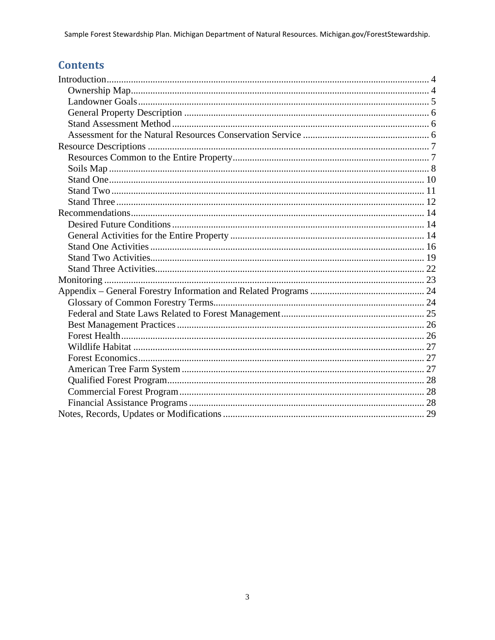# **Contents**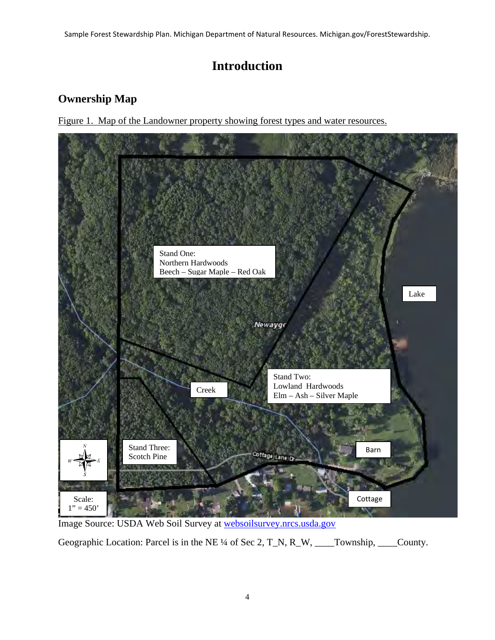# **Introduction**

# <span id="page-3-1"></span><span id="page-3-0"></span>**Ownership Map**

Figure 1. Map of the Landowner property showing forest types and water resources.



Image Source: USDA Web Soil Survey at [websoilsurvey.nrcs.usda.gov](http://websoilsurvey.nrcs.usda.gov/)

Geographic Location: Parcel is in the NE ¼ of Sec 2, T\_N, R\_W, \_\_\_\_Township, \_\_\_\_County.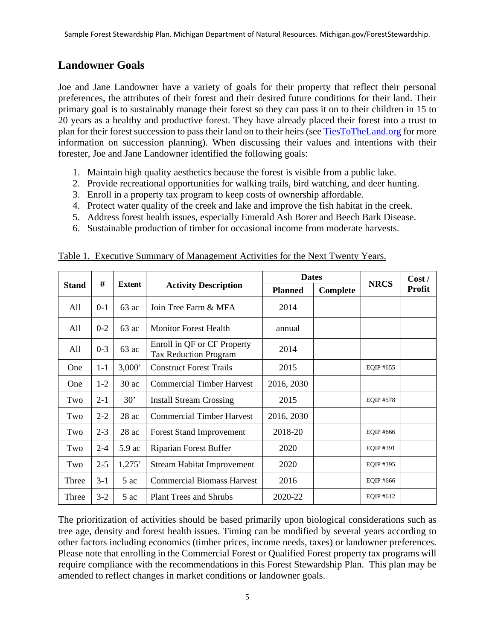#### <span id="page-4-0"></span>**Landowner Goals**

Joe and Jane Landowner have a variety of goals for their property that reflect their personal preferences, the attributes of their forest and their desired future conditions for their land. Their primary goal is to sustainably manage their forest so they can pass it on to their children in 15 to 20 years as a healthy and productive forest. They have already placed their forest into a trust to plan for their forest succession to pass their land on to their heirs (see [TiesToTheLand.org](http://www.tiestotheland.org/) for more information on succession planning). When discussing their values and intentions with their forester, Joe and Jane Landowner identified the following goals:

- 1. Maintain high quality aesthetics because the forest is visible from a public lake.
- 2. Provide recreational opportunities for walking trails, bird watching, and deer hunting.
- 3. Enroll in a property tax program to keep costs of ownership affordable.
- 4. Protect water quality of the creek and lake and improve the fish habitat in the creek.
- 5. Address forest health issues, especially Emerald Ash Borer and Beech Bark Disease.
- 6. Sustainable production of timber for occasional income from moderate harvests.

|              |         |                                              |                                                             | <b>Dates</b>   |          |                  | Cost/         |
|--------------|---------|----------------------------------------------|-------------------------------------------------------------|----------------|----------|------------------|---------------|
| <b>Stand</b> | #       | <b>Extent</b><br><b>Activity Description</b> |                                                             | <b>Planned</b> | Complete | <b>NRCS</b>      | <b>Profit</b> |
| All          | $0-1$   | $63 \text{ ac}$                              | Join Tree Farm & MFA                                        | 2014           |          |                  |               |
| All          | $0 - 2$ | $63$ ac                                      | <b>Monitor Forest Health</b>                                | annual         |          |                  |               |
| All          | $0 - 3$ | $63$ ac                                      | Enroll in QF or CF Property<br><b>Tax Reduction Program</b> | 2014           |          |                  |               |
| <b>One</b>   | $1 - 1$ | 3,000'                                       | <b>Construct Forest Trails</b>                              | 2015           |          | EOIP #655        |               |
| One          | $1-2$   | $30$ ac                                      | <b>Commercial Timber Harvest</b>                            | 2016, 2030     |          |                  |               |
| Two          | $2 - 1$ | 30'                                          | <b>Install Stream Crossing</b>                              | 2015           |          | <b>EOIP #578</b> |               |
| Two          | $2 - 2$ | $28$ ac                                      | <b>Commercial Timber Harvest</b>                            | 2016, 2030     |          |                  |               |
| Two          | $2 - 3$ | $28$ ac                                      | <b>Forest Stand Improvement</b>                             | 2018-20        |          | EOIP #666        |               |
| Two          | $2 - 4$ | 5.9 ac                                       | Riparian Forest Buffer                                      | 2020           |          | EOIP #391        |               |
| Two          | $2 - 5$ | 1,275'                                       | <b>Stream Habitat Improvement</b>                           | 2020           |          | EOIP #395        |               |
| Three        | $3 - 1$ | 5 ac                                         | <b>Commercial Biomass Harvest</b>                           | 2016           |          | EOIP #666        |               |
| Three        | $3 - 2$ | 5 ac                                         | <b>Plant Trees and Shrubs</b>                               | 2020-22        |          | EOIP #612        |               |

Table 1. Executive Summary of Management Activities for the Next Twenty Years.

The prioritization of activities should be based primarily upon biological considerations such as tree age, density and forest health issues. Timing can be modified by several years according to other factors including economics (timber prices, income needs, taxes) or landowner preferences. Please note that enrolling in the Commercial Forest or Qualified Forest property tax programs will require compliance with the recommendations in this Forest Stewardship Plan. This plan may be amended to reflect changes in market conditions or landowner goals.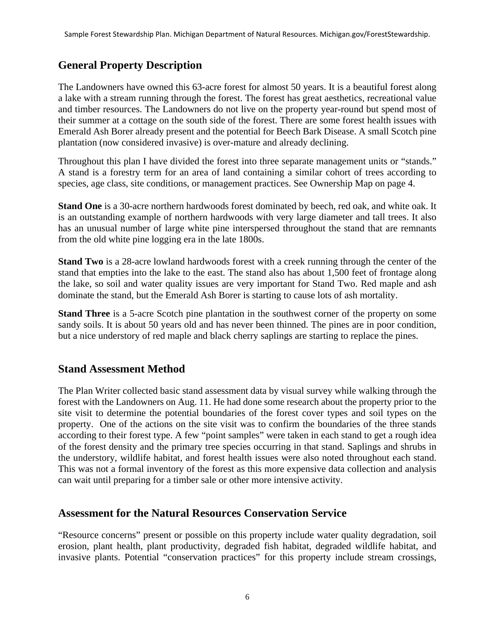#### <span id="page-5-0"></span>**General Property Description**

The Landowners have owned this 63-acre forest for almost 50 years. It is a beautiful forest along a lake with a stream running through the forest. The forest has great aesthetics, recreational value and timber resources. The Landowners do not live on the property year-round but spend most of their summer at a cottage on the south side of the forest. There are some forest health issues with Emerald Ash Borer already present and the potential for Beech Bark Disease. A small Scotch pine plantation (now considered invasive) is over-mature and already declining.

Throughout this plan I have divided the forest into three separate management units or "stands." A stand is a forestry term for an area of land containing a similar cohort of trees according to species, age class, site conditions, or management practices. See Ownership Map on page 4.

**Stand One** is a 30-acre northern hardwoods forest dominated by beech, red oak, and white oak. It is an outstanding example of northern hardwoods with very large diameter and tall trees. It also has an unusual number of large white pine interspersed throughout the stand that are remnants from the old white pine logging era in the late 1800s.

**Stand Two** is a 28-acre lowland hardwoods forest with a creek running through the center of the stand that empties into the lake to the east. The stand also has about 1,500 feet of frontage along the lake, so soil and water quality issues are very important for Stand Two. Red maple and ash dominate the stand, but the Emerald Ash Borer is starting to cause lots of ash mortality.

**Stand Three** is a 5-acre Scotch pine plantation in the southwest corner of the property on some sandy soils. It is about 50 years old and has never been thinned. The pines are in poor condition, but a nice understory of red maple and black cherry saplings are starting to replace the pines.

#### <span id="page-5-1"></span>**Stand Assessment Method**

The Plan Writer collected basic stand assessment data by visual survey while walking through the forest with the Landowners on Aug. 11. He had done some research about the property prior to the site visit to determine the potential boundaries of the forest cover types and soil types on the property. One of the actions on the site visit was to confirm the boundaries of the three stands according to their forest type. A few "point samples" were taken in each stand to get a rough idea of the forest density and the primary tree species occurring in that stand. Saplings and shrubs in the understory, wildlife habitat, and forest health issues were also noted throughout each stand. This was not a formal inventory of the forest as this more expensive data collection and analysis can wait until preparing for a timber sale or other more intensive activity.

#### <span id="page-5-2"></span>**Assessment for the Natural Resources Conservation Service**

"Resource concerns" present or possible on this property include water quality degradation, soil erosion, plant health, plant productivity, degraded fish habitat, degraded wildlife habitat, and invasive plants. Potential "conservation practices" for this property include stream crossings,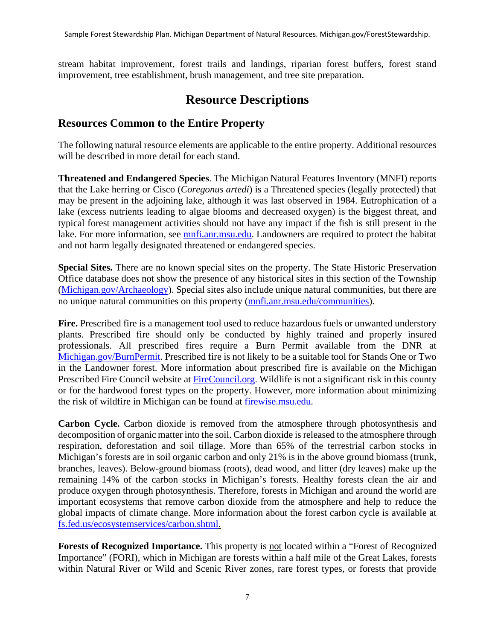stream habitat improvement, forest trails and landings, riparian forest buffers, forest stand improvement, tree establishment, brush management, and tree site preparation.

# **Resource Descriptions**

#### <span id="page-6-1"></span><span id="page-6-0"></span>**Resources Common to the Entire Property**

The following natural resource elements are applicable to the entire property. Additional resources will be described in more detail for each stand.

**Threatened and Endangered Species**. The Michigan Natural Features Inventory (MNFI) reports that the Lake herring or Cisco (*Coregonus artedi*) is a Threatened species (legally protected) that may be present in the adjoining lake, although it was last observed in 1984. Eutrophication of a lake (excess nutrients leading to algae blooms and decreased oxygen) is the biggest threat, and typical forest management activities should not have any impact if the fish is still present in the lake. For more information, see [mnfi.anr.msu.edu.](http://www.mnfi.anr.msu.edu/) Landowners are required to protect the habitat and not harm legally designated threatened or endangered species.

**Special Sites.** There are no known special sites on the property. The State Historic Preservation Office database does not show the presence of any historical sites in this section of the Township [\(Michigan.gov/Archaeology\)](http://www.michigan.gov/Archaeology). Special sites also include unique natural communities, but there are no unique natural communities on this property [\(mnfi.anr.msu.edu/communities\)](http://www.mnfi.anr.msu.edu/communities).

**Fire.** Prescribed fire is a management tool used to reduce hazardous fuels or unwanted understory plants. Prescribed fire should only be conducted by highly trained and properly insured professionals. All prescribed fires require a Burn Permit available from the DNR at [Michigan.gov/BurnPermit.](http://www.michigan.gov/BurnPermit) Prescribed fire is not likely to be a suitable tool for Stands One or Two in the Landowner forest. More information about prescribed fire is available on the Michigan Prescribed Fire Council website at [FireCouncil.org.](http://firecouncil.org/) Wildlife is not a significant risk in this county or for the hardwood forest types on the property. However, more information about minimizing the risk of wildfire in Michigan can be found at [firewise.msu.edu.](http://firewise.msu.edu/)

**Carbon Cycle.** Carbon dioxide is removed from the atmosphere through photosynthesis and decomposition of organic matter into the soil. Carbon dioxide is released to the atmosphere through respiration, deforestation and soil tillage. More than 65% of the terrestrial carbon stocks in Michigan's forests are in soil organic carbon and only 21% is in the above ground biomass (trunk, branches, leaves). Below-ground biomass (roots), dead wood, and litter (dry leaves) make up the remaining 14% of the carbon stocks in Michigan's forests. Healthy forests clean the air and produce oxygen through photosynthesis. Therefore, forests in Michigan and around the world are important ecosystems that remove carbon dioxide from the atmosphere and help to reduce the global impacts of climate change. More information about the forest carbon cycle is available at [fs.fed.us/ecosystemservices/carbon.shtml.](http://www.fs.fed.us/ecosystemservices/carbon.shtml)

**Forests of Recognized Importance.** This property is not located within a "Forest of Recognized Importance" (FORI), which in Michigan are forests within a half mile of the Great Lakes, forests within Natural River or Wild and Scenic River zones, rare forest types, or forests that provide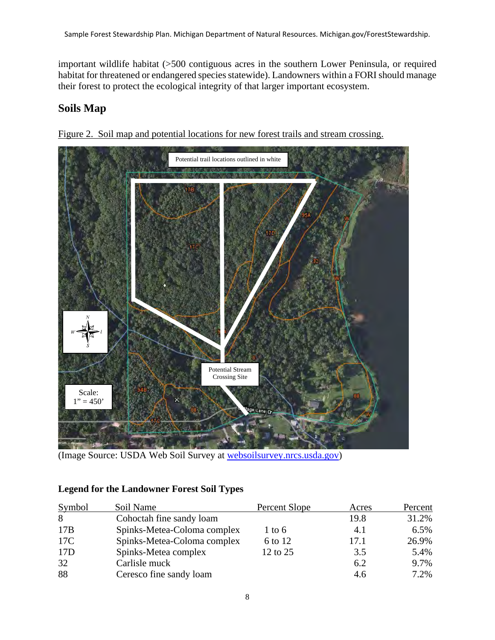important wildlife habitat (>500 contiguous acres in the southern Lower Peninsula, or required habitat for threatened or endangered species statewide). Landowners within a FORI should manage their forest to protect the ecological integrity of that larger important ecosystem.

# <span id="page-7-0"></span>**Soils Map**



Figure 2. Soil map and potential locations for new forest trails and stream crossing.

(Image Source: USDA Web Soil Survey at [websoilsurvey.nrcs.usda.gov\)](http://websoilsurvey.nrcs.usda.gov/)

#### **Legend for the Landowner Forest Soil Types**

| <b>Symbol</b> | Soil Name                   | Percent Slope     | Acres | Percent |
|---------------|-----------------------------|-------------------|-------|---------|
| 8             | Cohoctah fine sandy loam    |                   | 19.8  | 31.2%   |
| 17B           | Spinks-Metea-Coloma complex | $1 \text{ to } 6$ | 4.1   | 6.5%    |
| 17C           | Spinks-Metea-Coloma complex | 6 to 12           | 17.1  | 26.9%   |
| 17D           | Spinks-Metea complex        | 12 to 25          | 3.5   | 5.4%    |
| 32            | Carlisle muck               |                   | 6.2   | 9.7%    |
| 88            | Ceresco fine sandy loam     |                   | 4.6   | 7.2%    |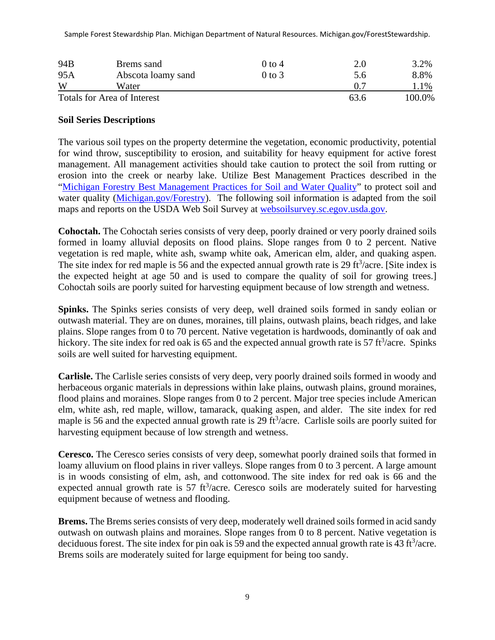Sample Forest Stewardship Plan. Michigan Department of Natural Resources. Michigan.gov/ForestStewardship.

| 94B | Brems sand                         | $0$ to 4 |      | 3.2%   |
|-----|------------------------------------|----------|------|--------|
| 95A | Abscota loamy sand                 | 0 to 3   | 5.6  | 8.8%   |
| W   | Water                              |          |      | 1%     |
|     | <b>Totals for Area of Interest</b> |          | 63.6 | 100.0% |

#### **Soil Series Descriptions**

The various soil types on the property determine the vegetation, economic productivity, potential for wind throw, susceptibility to erosion, and suitability for heavy equipment for active forest management. All management activities should take caution to protect the soil from rutting or erosion into the creek or nearby lake. Utilize Best Management Practices described in the ["Michigan Forestry Best Management Practices](https://www.michigan.gov/documents/dnr/IC4011_SustainableSoilAndWaterQualityPracticesOnForestLand_268417_7.pdf) for Soil and Water Quality" to protect soil and water quality [\(Michigan.gov/Forestry\)](http://www.michigan.gov/PrivateForestLand). The following soil information is adapted from the soil maps and reports on the USDA Web Soil Survey at [websoilsurvey.sc.egov.usda.gov.](http://websoilsurvey.sc.egov.usda.gov/)

**Cohoctah.** The Cohoctah series consists of very deep, poorly drained or very poorly drained soils formed in loamy alluvial deposits on flood plains. Slope ranges from 0 to 2 percent. Native vegetation is red maple, white ash, swamp white oak, American elm, alder, and quaking aspen. The site index for red maple is 56 and the expected annual growth rate is 29 ft $\frac{3}{\text{arc}}$ . [Site index is the expected height at age 50 and is used to compare the quality of soil for growing trees.] Cohoctah soils are poorly suited for harvesting equipment because of low strength and wetness.

**Spinks.** The Spinks series consists of very deep, well drained soils formed in sandy eolian or outwash material. They are on dunes, moraines, till plains, outwash plains, beach ridges, and lake plains. Slope ranges from 0 to 70 percent. Native vegetation is hardwoods, dominantly of oak and hickory. The site index for red oak is 65 and the expected annual growth rate is 57 ft<sup>3</sup>/acre. Spinks soils are well suited for harvesting equipment.

**Carlisle.** The Carlisle series consists of very deep, very poorly drained soils formed in woody and herbaceous organic materials in depressions within lake plains, outwash plains, ground moraines, flood plains and moraines. Slope ranges from 0 to 2 percent. Major tree species include American elm, white ash, red maple, willow, tamarack, quaking aspen, and alder. The site index for red maple is 56 and the expected annual growth rate is 29 ft<sup>3</sup>/acre. Carlisle soils are poorly suited for harvesting equipment because of low strength and wetness.

**Ceresco.** The Ceresco series consists of very deep, somewhat poorly drained soils that formed in loamy alluvium on flood plains in river valleys. Slope ranges from 0 to 3 percent. A large amount is in woods consisting of elm, ash, and cottonwood. The site index for red oak is 66 and the expected annual growth rate is  $57 \text{ ft}^3/\text{acre}$ . Ceresco soils are moderately suited for harvesting equipment because of wetness and flooding.

**Brems.** The Brems series consists of very deep, moderately well drained soils formed in acid sandy outwash on outwash plains and moraines. Slope ranges from 0 to 8 percent. Native vegetation is deciduous forest. The site index for pin oak is 59 and the expected annual growth rate is  $43 \text{ ft}^3/\text{acre}$ . Brems soils are moderately suited for large equipment for being too sandy.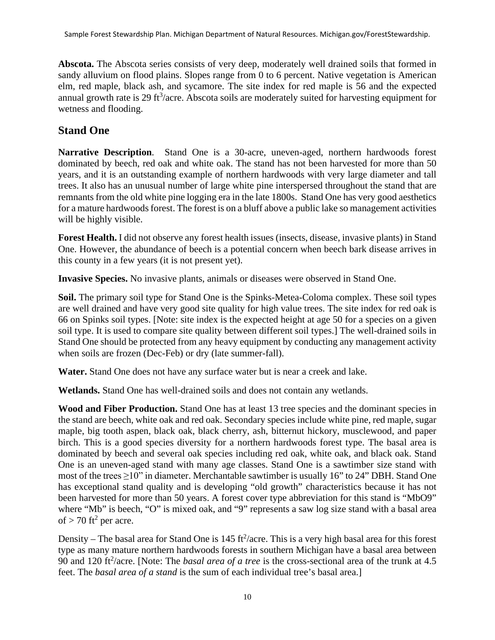**Abscota.** The Abscota series consists of very deep, moderately well drained soils that formed in sandy alluvium on flood plains. Slopes range from 0 to 6 percent. Native vegetation is American elm, red maple, black ash, and sycamore. The site index for red maple is 56 and the expected annual growth rate is 29 ft $3/$ acre. Abscota soils are moderately suited for harvesting equipment for wetness and flooding.

# <span id="page-9-0"></span>**Stand One**

**Narrative Description**. Stand One is a 30-acre, uneven-aged, northern hardwoods forest dominated by beech, red oak and white oak. The stand has not been harvested for more than 50 years, and it is an outstanding example of northern hardwoods with very large diameter and tall trees. It also has an unusual number of large white pine interspersed throughout the stand that are remnants from the old white pine logging era in the late 1800s. Stand One has very good aesthetics for a mature hardwoods forest. The forest is on a bluff above a public lake so management activities will be highly visible.

**Forest Health.** I did not observe any forest health issues (insects, disease, invasive plants) in Stand One. However, the abundance of beech is a potential concern when beech bark disease arrives in this county in a few years (it is not present yet).

**Invasive Species.** No invasive plants, animals or diseases were observed in Stand One.

**Soil.** The primary soil type for Stand One is the Spinks-Metea-Coloma complex. These soil types are well drained and have very good site quality for high value trees. The site index for red oak is 66 on Spinks soil types. [Note: site index is the expected height at age 50 for a species on a given soil type. It is used to compare site quality between different soil types.] The well-drained soils in Stand One should be protected from any heavy equipment by conducting any management activity when soils are frozen (Dec-Feb) or dry (late summer-fall).

**Water.** Stand One does not have any surface water but is near a creek and lake.

**Wetlands.** Stand One has well-drained soils and does not contain any wetlands.

**Wood and Fiber Production.** Stand One has at least 13 tree species and the dominant species in the stand are beech, white oak and red oak. Secondary species include white pine, red maple, sugar maple, big tooth aspen, black oak, black cherry, ash, bitternut hickory, musclewood, and paper birch. This is a good species diversity for a northern hardwoods forest type. The basal area is dominated by beech and several oak species including red oak, white oak, and black oak. Stand One is an uneven-aged stand with many age classes. Stand One is a sawtimber size stand with most of the trees  $\geq$ 10" in diameter. Merchantable sawtimber is usually 16" to 24" DBH. Stand One has exceptional stand quality and is developing "old growth" characteristics because it has not been harvested for more than 50 years. A forest cover type abbreviation for this stand is "MbO9" where "Mb" is beech, "O" is mixed oak, and "9" represents a saw log size stand with a basal area of  $>$  70 ft<sup>2</sup> per acre.

Density – The basal area for Stand One is  $145 \text{ ft}^2/\text{acre}$ . This is a very high basal area for this forest type as many mature northern hardwoods forests in southern Michigan have a basal area between 90 and 120 ft<sup>2</sup>/acre. [Note: The *basal area of a tree* is the cross-sectional area of the trunk at 4.5 feet. The *basal area of a stand* is the sum of each individual tree's basal area.]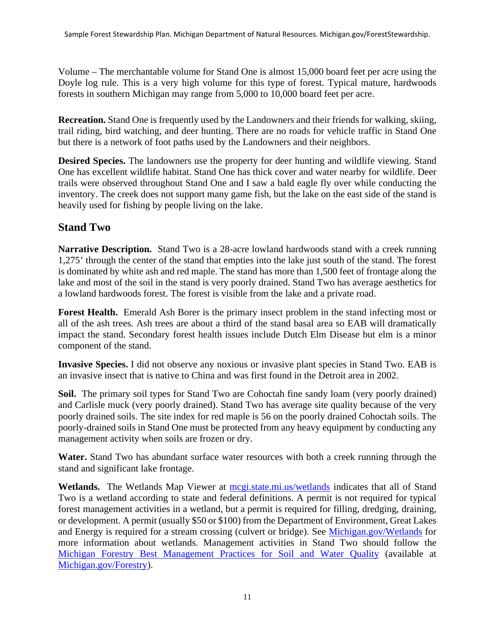Volume – The merchantable volume for Stand One is almost 15,000 board feet per acre using the Doyle log rule. This is a very high volume for this type of forest. Typical mature, hardwoods forests in southern Michigan may range from 5,000 to 10,000 board feet per acre.

**Recreation.** Stand One is frequently used by the Landowners and their friends for walking, skiing, trail riding, bird watching, and deer hunting. There are no roads for vehicle traffic in Stand One but there is a network of foot paths used by the Landowners and their neighbors.

**Desired Species.** The landowners use the property for deer hunting and wildlife viewing. Stand One has excellent wildlife habitat. Stand One has thick cover and water nearby for wildlife. Deer trails were observed throughout Stand One and I saw a bald eagle fly over while conducting the inventory. The creek does not support many game fish, but the lake on the east side of the stand is heavily used for fishing by people living on the lake.

#### <span id="page-10-0"></span>**Stand Two**

**Narrative Description.** Stand Two is a 28-acre lowland hardwoods stand with a creek running 1,275' through the center of the stand that empties into the lake just south of the stand. The forest is dominated by white ash and red maple. The stand has more than 1,500 feet of frontage along the lake and most of the soil in the stand is very poorly drained. Stand Two has average aesthetics for a lowland hardwoods forest. The forest is visible from the lake and a private road.

**Forest Health.** Emerald Ash Borer is the primary insect problem in the stand infecting most or all of the ash trees. Ash trees are about a third of the stand basal area so EAB will dramatically impact the stand. Secondary forest health issues include Dutch Elm Disease but elm is a minor component of the stand.

**Invasive Species.** I did not observe any noxious or invasive plant species in Stand Two. EAB is an invasive insect that is native to China and was first found in the Detroit area in 2002.

**Soil.** The primary soil types for Stand Two are Cohoctah fine sandy loam (very poorly drained) and Carlisle muck (very poorly drained). Stand Two has average site quality because of the very poorly drained soils. The site index for red maple is 56 on the poorly drained Cohoctah soils. The poorly-drained soils in Stand One must be protected from any heavy equipment by conducting any management activity when soils are frozen or dry.

**Water.** Stand Two has abundant surface water resources with both a creek running through the stand and significant lake frontage.

Wetlands. The Wetlands Map Viewer at megi.state.mi.us/wetlands indicates that all of Stand Two is a wetland according to state and federal definitions. A permit is not required for typical forest management activities in a wetland, but a permit is required for filling, dredging, draining, or development. A permit (usually \$50 or \$100) from the Department of Environment, Great Lakes and Energy is required for a stream crossing (culvert or bridge). See [Michigan.gov/Wetlands](http://www.michigan.gov/DEQWetlands) for more information about wetlands. Management activities in Stand Two should follow the [Michigan Forestry Best Management Practices for Soil and Water Quality](https://www.michigan.gov/documents/dnr/IC4011_SustainableSoilAndWaterQualityPracticesOnForestLand_268417_7.pdf) (available at [Michigan.gov/F](http://www.michigan.gov/)orestry).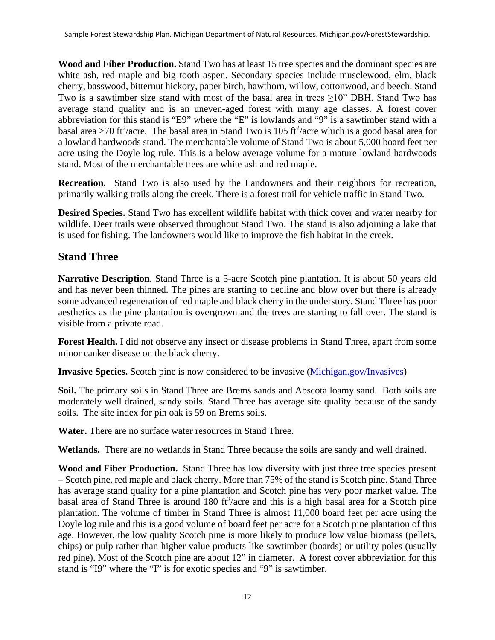**Wood and Fiber Production.** Stand Two has at least 15 tree species and the dominant species are white ash, red maple and big tooth aspen. Secondary species include musclewood, elm, black cherry, basswood, bitternut hickory, paper birch, hawthorn, willow, cottonwood, and beech. Stand Two is a sawtimber size stand with most of the basal area in trees ≥10" DBH. Stand Two has average stand quality and is an uneven-aged forest with many age classes. A forest cover abbreviation for this stand is "E9" where the "E" is lowlands and "9" is a sawtimber stand with a basal area >70 ft<sup>2</sup>/acre. The basal area in Stand Two is 105 ft<sup>2</sup>/acre which is a good basal area for a lowland hardwoods stand. The merchantable volume of Stand Two is about 5,000 board feet per acre using the Doyle log rule. This is a below average volume for a mature lowland hardwoods stand. Most of the merchantable trees are white ash and red maple.

**Recreation.** Stand Two is also used by the Landowners and their neighbors for recreation, primarily walking trails along the creek. There is a forest trail for vehicle traffic in Stand Two.

**Desired Species.** Stand Two has excellent wildlife habitat with thick cover and water nearby for wildlife. Deer trails were observed throughout Stand Two. The stand is also adjoining a lake that is used for fishing. The landowners would like to improve the fish habitat in the creek.

# <span id="page-11-0"></span>**Stand Three**

**Narrative Description**. Stand Three is a 5-acre Scotch pine plantation. It is about 50 years old and has never been thinned. The pines are starting to decline and blow over but there is already some advanced regeneration of red maple and black cherry in the understory. Stand Three has poor aesthetics as the pine plantation is overgrown and the trees are starting to fall over. The stand is visible from a private road.

**Forest Health.** I did not observe any insect or disease problems in Stand Three, apart from some minor canker disease on the black cherry.

**Invasive Species.** Scotch pine is now considered to be invasive [\(Michigan.gov/Invasives\)](http://www.michigan.gov/Invasives)

**Soil.** The primary soils in Stand Three are Brems sands and Abscota loamy sand. Both soils are moderately well drained, sandy soils. Stand Three has average site quality because of the sandy soils. The site index for pin oak is 59 on Brems soils.

**Water.** There are no surface water resources in Stand Three.

**Wetlands.** There are no wetlands in Stand Three because the soils are sandy and well drained.

**Wood and Fiber Production.** Stand Three has low diversity with just three tree species present – Scotch pine, red maple and black cherry. More than 75% of the stand is Scotch pine. Stand Three has average stand quality for a pine plantation and Scotch pine has very poor market value. The basal area of Stand Three is around  $180$  ft<sup>2</sup>/acre and this is a high basal area for a Scotch pine plantation. The volume of timber in Stand Three is almost 11,000 board feet per acre using the Doyle log rule and this is a good volume of board feet per acre for a Scotch pine plantation of this age. However, the low quality Scotch pine is more likely to produce low value biomass (pellets, chips) or pulp rather than higher value products like sawtimber (boards) or utility poles (usually red pine). Most of the Scotch pine are about 12" in diameter. A forest cover abbreviation for this stand is "I9" where the "I" is for exotic species and "9" is sawtimber.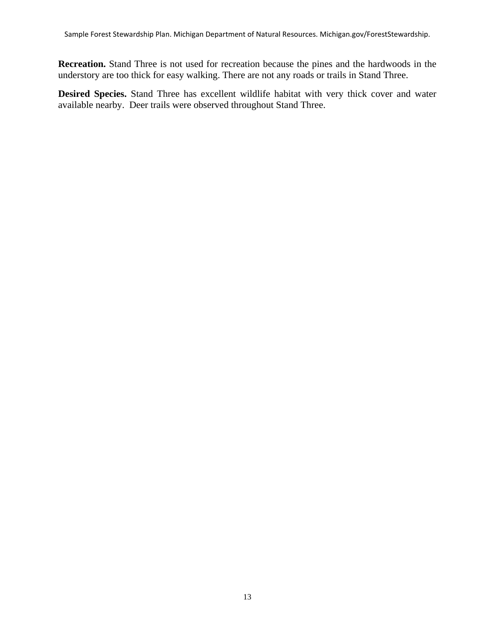**Recreation.** Stand Three is not used for recreation because the pines and the hardwoods in the understory are too thick for easy walking. There are not any roads or trails in Stand Three.

**Desired Species.** Stand Three has excellent wildlife habitat with very thick cover and water available nearby. Deer trails were observed throughout Stand Three.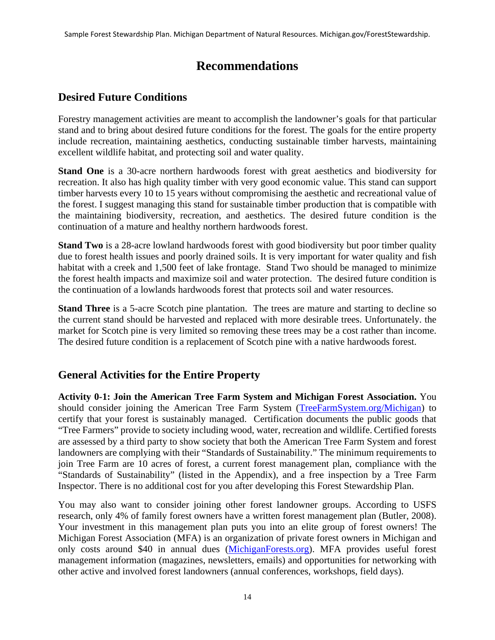# **Recommendations**

# <span id="page-13-1"></span><span id="page-13-0"></span>**Desired Future Conditions**

Forestry management activities are meant to accomplish the landowner's goals for that particular stand and to bring about desired future conditions for the forest. The goals for the entire property include recreation, maintaining aesthetics, conducting sustainable timber harvests, maintaining excellent wildlife habitat, and protecting soil and water quality.

**Stand One** is a 30-acre northern hardwoods forest with great aesthetics and biodiversity for recreation. It also has high quality timber with very good economic value. This stand can support timber harvests every 10 to 15 years without compromising the aesthetic and recreational value of the forest. I suggest managing this stand for sustainable timber production that is compatible with the maintaining biodiversity, recreation, and aesthetics. The desired future condition is the continuation of a mature and healthy northern hardwoods forest.

**Stand Two** is a 28-acre lowland hardwoods forest with good biodiversity but poor timber quality due to forest health issues and poorly drained soils. It is very important for water quality and fish habitat with a creek and 1,500 feet of lake frontage. Stand Two should be managed to minimize the forest health impacts and maximize soil and water protection. The desired future condition is the continuation of a lowlands hardwoods forest that protects soil and water resources.

**Stand Three** is a 5-acre Scotch pine plantation. The trees are mature and starting to decline so the current stand should be harvested and replaced with more desirable trees. Unfortunately. the market for Scotch pine is very limited so removing these trees may be a cost rather than income. The desired future condition is a replacement of Scotch pine with a native hardwoods forest.

# <span id="page-13-2"></span>**General Activities for the Entire Property**

**Activity 0-1: Join the American Tree Farm System and Michigan Forest Association.** You should consider joining the American Tree Farm System [\(TreeFarmSystem.org/](http://www.treefarmsystem.org/Michigan)Michigan) to certify that your forest is sustainably managed. Certification documents the public goods that "Tree Farmers" provide to society including wood, water, recreation and wildlife. Certified forests are assessed by a third party to show society that both the American Tree Farm System and forest landowners are complying with their "Standards of Sustainability." The minimum requirements to join Tree Farm are 10 acres of forest, a current forest management plan, compliance with the "Standards of Sustainability" (listed in the Appendix), and a free inspection by a Tree Farm Inspector. There is no additional cost for you after developing this Forest Stewardship Plan.

You may also want to consider joining other forest landowner groups. According to USFS research, only 4% of family forest owners have a written forest management plan (Butler, 2008). Your investment in this management plan puts you into an elite group of forest owners! The Michigan Forest Association (MFA) is an organization of private forest owners in Michigan and only costs around \$40 in annual dues [\(MichiganForests.org\)](http://www.michiganforests.org/). MFA provides useful forest management information (magazines, newsletters, emails) and opportunities for networking with other active and involved forest landowners (annual conferences, workshops, field days).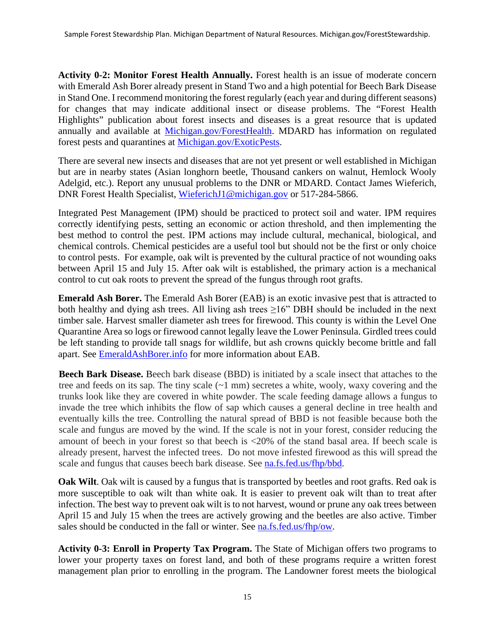**Activity 0-2: Monitor Forest Health Annually.** Forest health is an issue of moderate concern with Emerald Ash Borer already present in Stand Two and a high potential for Beech Bark Disease in Stand One. I recommend monitoring the forest regularly (each year and during different seasons) for changes that may indicate additional insect or disease problems. The "Forest Health Highlights" publication about forest insects and diseases is a great resource that is updated annually and available at [Michigan.gov/ForestHealth.](http://www.michigan.gov/ForestHealth) MDARD has information on regulated forest pests and quarantines at [Michigan.gov/ExoticPests.](http://www.michigan.gov/ExoticPests)

There are several new insects and diseases that are not yet present or well established in Michigan but are in nearby states (Asian longhorn beetle, Thousand cankers on walnut, Hemlock Wooly Adelgid, etc.). Report any unusual problems to the DNR or MDARD. Contact James Wieferich, DNR Forest Health Specialist, [WieferichJ1@michigan.gov](mailto:WieferichJ1@michigan.gov) or 517-284-5866.

Integrated Pest Management (IPM) should be practiced to protect soil and water. IPM requires correctly identifying pests, setting an economic or action threshold, and then implementing the best method to control the pest. IPM actions may include cultural, mechanical, biological, and chemical controls. Chemical pesticides are a useful tool but should not be the first or only choice to control pests. For example, oak wilt is prevented by the cultural practice of not wounding oaks between April 15 and July 15. After oak wilt is established, the primary action is a mechanical control to cut oak roots to prevent the spread of the fungus through root grafts.

**Emerald Ash Borer.** The Emerald Ash Borer (EAB) is an exotic invasive pest that is attracted to both healthy and dying ash trees. All living ash trees  $\geq 16$ " DBH should be included in the next timber sale. Harvest smaller diameter ash trees for firewood. This county is within the Level One Quarantine Area so logs or firewood cannot legally leave the Lower Peninsula. Girdled trees could be left standing to provide tall snags for wildlife, but ash crowns quickly become brittle and fall apart. See [EmeraldAshBorer.info](http://www.emeraldashborer.info/) for more information about EAB.

**Beech Bark Disease.** Beech bark disease (BBD) is initiated by a scale insect that attaches to the tree and feeds on its sap. The tiny scale  $(-1 \text{ mm})$  secretes a white, wooly, waxy covering and the trunks look like they are covered in white powder. The scale feeding damage allows a fungus to invade the tree which inhibits the flow of sap which causes a general decline in tree health and eventually kills the tree. Controlling the natural spread of BBD is not feasible because both the scale and fungus are moved by the wind. If the scale is not in your forest, consider reducing the amount of beech in your forest so that beech is <20% of the stand basal area. If beech scale is already present, harvest the infected trees. Do not move infested firewood as this will spread the scale and fungus that causes beech bark disease. See [na.fs.fed.us/fhp/bbd.](http://na.fs.fed.us/fhp/bbd/)

**Oak Wilt**. Oak wilt is caused by a fungus that is transported by beetles and root grafts. Red oak is more susceptible to oak wilt than white oak. It is easier to prevent oak wilt than to treat after infection. The best way to prevent oak wilt is to not harvest, wound or prune any oak trees between April 15 and July 15 when the trees are actively growing and the beetles are also active. Timber sales should be conducted in the fall or winter. See [na.fs.fed.us/fhp/ow.](http://na.fs.fed.us/fhp/ow/)

**Activity 0-3: Enroll in Property Tax Program.** The State of Michigan offers two programs to lower your property taxes on forest land, and both of these programs require a written forest management plan prior to enrolling in the program. The Landowner forest meets the biological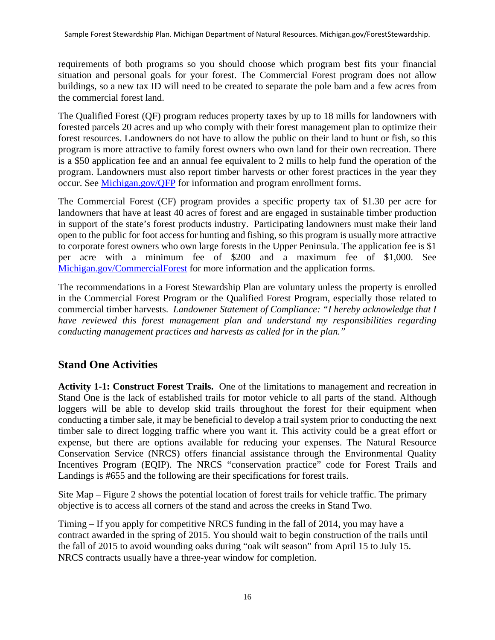requirements of both programs so you should choose which program best fits your financial situation and personal goals for your forest. The Commercial Forest program does not allow buildings, so a new tax ID will need to be created to separate the pole barn and a few acres from the commercial forest land.

The Qualified Forest (QF) program reduces property taxes by up to 18 mills for landowners with forested parcels 20 acres and up who comply with their forest management plan to optimize their forest resources. Landowners do not have to allow the public on their land to hunt or fish, so this program is more attractive to family forest owners who own land for their own recreation. There is a \$50 application fee and an annual fee equivalent to 2 mills to help fund the operation of the program. Landowners must also report timber harvests or other forest practices in the year they occur. See [Michigan.gov/QFP](http://www.michigan.gov/QFP) for information and program enrollment forms.

The Commercial Forest (CF) program provides a specific property tax of \$1.30 per acre for landowners that have at least 40 acres of forest and are engaged in sustainable timber production in support of the state's forest products industry. Participating landowners must make their land open to the public for foot access for hunting and fishing, so this program is usually more attractive to corporate forest owners who own large forests in the Upper Peninsula. The application fee is \$1 per acre with a minimum fee of \$200 and a maximum fee of \$1,000. See [Michigan.gov/CommercialForest](http://www.michigan.gov/CommercialForest) for more information and the application forms.

The recommendations in a Forest Stewardship Plan are voluntary unless the property is enrolled in the Commercial Forest Program or the Qualified Forest Program, especially those related to commercial timber harvests. *Landowner Statement of Compliance: "I hereby acknowledge that I have reviewed this forest management plan and understand my responsibilities regarding conducting management practices and harvests as called for in the plan."* 

# <span id="page-15-0"></span>**Stand One Activities**

**Activity 1-1: Construct Forest Trails.** One of the limitations to management and recreation in Stand One is the lack of established trails for motor vehicle to all parts of the stand. Although loggers will be able to develop skid trails throughout the forest for their equipment when conducting a timber sale, it may be beneficial to develop a trail system prior to conducting the next timber sale to direct logging traffic where you want it. This activity could be a great effort or expense, but there are options available for reducing your expenses. The Natural Resource Conservation Service (NRCS) offers financial assistance through the Environmental Quality Incentives Program (EQIP). The NRCS "conservation practice" code for Forest Trails and Landings is #655 and the following are their specifications for forest trails.

Site Map – Figure 2 shows the potential location of forest trails for vehicle traffic. The primary objective is to access all corners of the stand and across the creeks in Stand Two.

Timing – If you apply for competitive NRCS funding in the fall of 2014, you may have a contract awarded in the spring of 2015. You should wait to begin construction of the trails until the fall of 2015 to avoid wounding oaks during "oak wilt season" from April 15 to July 15. NRCS contracts usually have a three-year window for completion.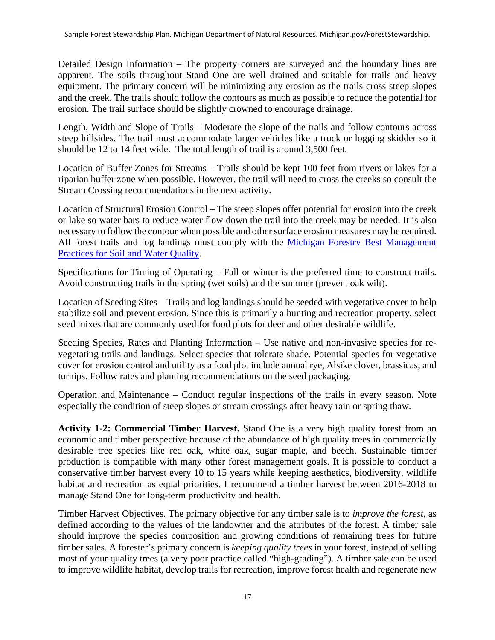Detailed Design Information – The property corners are surveyed and the boundary lines are apparent. The soils throughout Stand One are well drained and suitable for trails and heavy equipment. The primary concern will be minimizing any erosion as the trails cross steep slopes and the creek. The trails should follow the contours as much as possible to reduce the potential for erosion. The trail surface should be slightly crowned to encourage drainage.

Length, Width and Slope of Trails – Moderate the slope of the trails and follow contours across steep hillsides. The trail must accommodate larger vehicles like a truck or logging skidder so it should be 12 to 14 feet wide. The total length of trail is around 3,500 feet.

Location of Buffer Zones for Streams – Trails should be kept 100 feet from rivers or lakes for a riparian buffer zone when possible. However, the trail will need to cross the creeks so consult the Stream Crossing recommendations in the next activity.

Location of Structural Erosion Control – The steep slopes offer potential for erosion into the creek or lake so water bars to reduce water flow down the trail into the creek may be needed. It is also necessary to follow the contour when possible and other surface erosion measures may be required. All forest trails and log landings must comply with the [Michigan Forestry Best Management](https://www.michigan.gov/documents/dnr/IC4011_SustainableSoilAndWaterQualityPracticesOnForestLand_268417_7.pdf)  [Practices for Soil and Water Quality.](https://www.michigan.gov/documents/dnr/IC4011_SustainableSoilAndWaterQualityPracticesOnForestLand_268417_7.pdf)

Specifications for Timing of Operating – Fall or winter is the preferred time to construct trails. Avoid constructing trails in the spring (wet soils) and the summer (prevent oak wilt).

Location of Seeding Sites – Trails and log landings should be seeded with vegetative cover to help stabilize soil and prevent erosion. Since this is primarily a hunting and recreation property, select seed mixes that are commonly used for food plots for deer and other desirable wildlife.

Seeding Species, Rates and Planting Information – Use native and non-invasive species for revegetating trails and landings. Select species that tolerate shade. Potential species for vegetative cover for erosion control and utility as a food plot include annual rye, Alsike clover, brassicas, and turnips. Follow rates and planting recommendations on the seed packaging.

Operation and Maintenance – Conduct regular inspections of the trails in every season. Note especially the condition of steep slopes or stream crossings after heavy rain or spring thaw.

**Activity 1-2: Commercial Timber Harvest.** Stand One is a very high quality forest from an economic and timber perspective because of the abundance of high quality trees in commercially desirable tree species like red oak, white oak, sugar maple, and beech. Sustainable timber production is compatible with many other forest management goals. It is possible to conduct a conservative timber harvest every 10 to 15 years while keeping aesthetics, biodiversity, wildlife habitat and recreation as equal priorities. I recommend a timber harvest between 2016-2018 to manage Stand One for long-term productivity and health.

Timber Harvest Objectives. The primary objective for any timber sale is to *improve the forest*, as defined according to the values of the landowner and the attributes of the forest. A timber sale should improve the species composition and growing conditions of remaining trees for future timber sales. A forester's primary concern is *keeping quality trees* in your forest, instead of selling most of your quality trees (a very poor practice called "high-grading"). A timber sale can be used to improve wildlife habitat, develop trails for recreation, improve forest health and regenerate new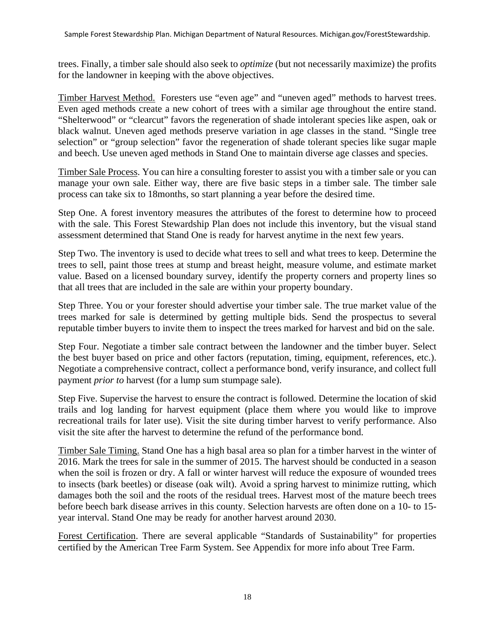trees. Finally, a timber sale should also seek to *optimize* (but not necessarily maximize) the profits for the landowner in keeping with the above objectives.

Timber Harvest Method. Foresters use "even age" and "uneven aged" methods to harvest trees. Even aged methods create a new cohort of trees with a similar age throughout the entire stand. "Shelterwood" or "clearcut" favors the regeneration of shade intolerant species like aspen, oak or black walnut. Uneven aged methods preserve variation in age classes in the stand. "Single tree selection" or "group selection" favor the regeneration of shade tolerant species like sugar maple and beech. Use uneven aged methods in Stand One to maintain diverse age classes and species.

Timber Sale Process. You can hire a consulting forester to assist you with a timber sale or you can manage your own sale. Either way, there are five basic steps in a timber sale. The timber sale process can take six to 18months, so start planning a year before the desired time.

Step One. A forest inventory measures the attributes of the forest to determine how to proceed with the sale. This Forest Stewardship Plan does not include this inventory, but the visual stand assessment determined that Stand One is ready for harvest anytime in the next few years.

Step Two. The inventory is used to decide what trees to sell and what trees to keep. Determine the trees to sell, paint those trees at stump and breast height, measure volume, and estimate market value. Based on a licensed boundary survey, identify the property corners and property lines so that all trees that are included in the sale are within your property boundary.

Step Three. You or your forester should advertise your timber sale. The true market value of the trees marked for sale is determined by getting multiple bids. Send the prospectus to several reputable timber buyers to invite them to inspect the trees marked for harvest and bid on the sale.

Step Four. Negotiate a timber sale contract between the landowner and the timber buyer. Select the best buyer based on price and other factors (reputation, timing, equipment, references, etc.). Negotiate a comprehensive contract, collect a performance bond, verify insurance, and collect full payment *prior to* harvest (for a lump sum stumpage sale).

Step Five. Supervise the harvest to ensure the contract is followed. Determine the location of skid trails and log landing for harvest equipment (place them where you would like to improve recreational trails for later use). Visit the site during timber harvest to verify performance. Also visit the site after the harvest to determine the refund of the performance bond.

Timber Sale Timing. Stand One has a high basal area so plan for a timber harvest in the winter of 2016. Mark the trees for sale in the summer of 2015. The harvest should be conducted in a season when the soil is frozen or dry. A fall or winter harvest will reduce the exposure of wounded trees to insects (bark beetles) or disease (oak wilt). Avoid a spring harvest to minimize rutting, which damages both the soil and the roots of the residual trees. Harvest most of the mature beech trees before beech bark disease arrives in this county. Selection harvests are often done on a 10- to 15 year interval. Stand One may be ready for another harvest around 2030.

Forest Certification. There are several applicable "Standards of Sustainability" for properties certified by the American Tree Farm System. See Appendix for more info about Tree Farm.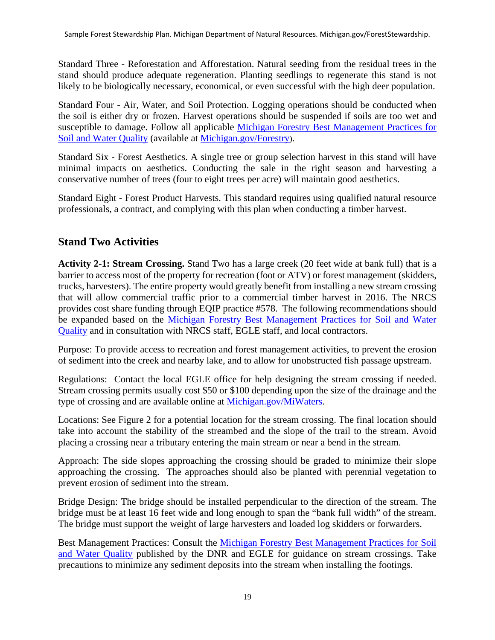Standard Three - Reforestation and Afforestation. Natural seeding from the residual trees in the stand should produce adequate regeneration. Planting seedlings to regenerate this stand is not likely to be biologically necessary, economical, or even successful with the high deer population.

Standard Four - Air, Water, and Soil Protection. Logging operations should be conducted when the soil is either dry or frozen. Harvest operations should be suspended if soils are too wet and susceptible to damage. Follow all applicable [Michigan Forestry Best Management Practices for](https://www.michigan.gov/documents/dnr/IC4011_SustainableSoilAndWaterQualityPracticesOnForestLand_268417_7.pdf)  [Soil and Water Quality](https://www.michigan.gov/documents/dnr/IC4011_SustainableSoilAndWaterQualityPracticesOnForestLand_268417_7.pdf) (available at [Michigan.gov/F](http://www.michigan.gov/)orestry).

Standard Six - Forest Aesthetics. A single tree or group selection harvest in this stand will have minimal impacts on aesthetics. Conducting the sale in the right season and harvesting a conservative number of trees (four to eight trees per acre) will maintain good aesthetics.

Standard Eight - Forest Product Harvests. This standard requires using qualified natural resource professionals, a contract, and complying with this plan when conducting a timber harvest.

# <span id="page-18-0"></span>**Stand Two Activities**

**Activity 2-1: Stream Crossing.** Stand Two has a large creek (20 feet wide at bank full) that is a barrier to access most of the property for recreation (foot or ATV) or forest management (skidders, trucks, harvesters). The entire property would greatly benefit from installing a new stream crossing that will allow commercial traffic prior to a commercial timber harvest in 2016. The NRCS provides cost share funding through EQIP practice #578. The following recommendations should be expanded based on the [Michigan Forestry Best Management Practices for Soil and Water](https://www.michigan.gov/documents/dnr/IC4011_SustainableSoilAndWaterQualityPracticesOnForestLand_268417_7.pdf)  [Quality](https://www.michigan.gov/documents/dnr/IC4011_SustainableSoilAndWaterQualityPracticesOnForestLand_268417_7.pdf) and in consultation with NRCS staff, EGLE staff, and local contractors.

Purpose: To provide access to recreation and forest management activities, to prevent the erosion of sediment into the creek and nearby lake, and to allow for unobstructed fish passage upstream.

Regulations: Contact the local EGLE office for help designing the stream crossing if needed. Stream crossing permits usually cost \$50 or \$100 depending upon the size of the drainage and the type of crossing and are available online at [Michigan.gov/MiWaters.](http://www.michigan.gov/MiWaters)

Locations: See Figure 2 for a potential location for the stream crossing. The final location should take into account the stability of the streambed and the slope of the trail to the stream. Avoid placing a crossing near a tributary entering the main stream or near a bend in the stream.

Approach: The side slopes approaching the crossing should be graded to minimize their slope approaching the crossing. The approaches should also be planted with perennial vegetation to prevent erosion of sediment into the stream.

Bridge Design: The bridge should be installed perpendicular to the direction of the stream. The bridge must be at least 16 feet wide and long enough to span the "bank full width" of the stream. The bridge must support the weight of large harvesters and loaded log skidders or forwarders.

Best Management Practices: Consult the [Michigan Forestry Best Management Practices for Soil](https://www.michigan.gov/documents/dnr/IC4011_SustainableSoilAndWaterQualityPracticesOnForestLand_268417_7.pdf)  [and Water Quality](https://www.michigan.gov/documents/dnr/IC4011_SustainableSoilAndWaterQualityPracticesOnForestLand_268417_7.pdf) published by the DNR and EGLE for guidance on stream crossings. Take precautions to minimize any sediment deposits into the stream when installing the footings.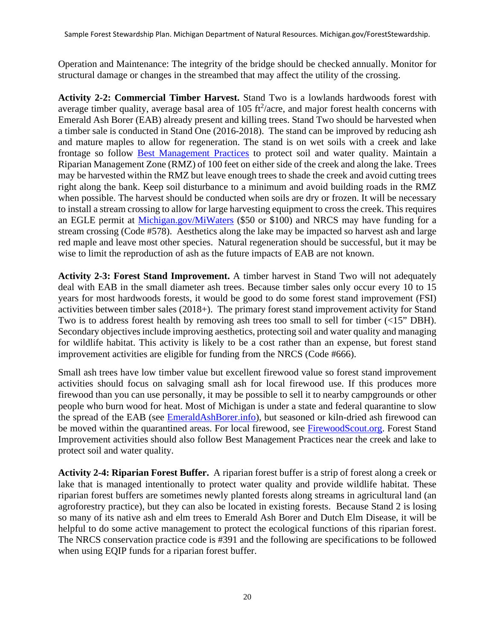Operation and Maintenance: The integrity of the bridge should be checked annually. Monitor for structural damage or changes in the streambed that may affect the utility of the crossing.

**Activity 2-2: Commercial Timber Harvest.** Stand Two is a lowlands hardwoods forest with average timber quality, average basal area of  $105 \text{ ft}^2/\text{acre}$ , and major forest health concerns with Emerald Ash Borer (EAB) already present and killing trees. Stand Two should be harvested when a timber sale is conducted in Stand One (2016-2018). The stand can be improved by reducing ash and mature maples to allow for regeneration. The stand is on wet soils with a creek and lake frontage so follow [Best Management Practices](https://www.michigan.gov/documents/dnr/IC4011_SustainableSoilAndWaterQualityPracticesOnForestLand_268417_7.pdf) to protect soil and water quality. Maintain a Riparian Management Zone (RMZ) of 100 feet on either side of the creek and along the lake. Trees may be harvested within the RMZ but leave enough trees to shade the creek and avoid cutting trees right along the bank. Keep soil disturbance to a minimum and avoid building roads in the RMZ when possible. The harvest should be conducted when soils are dry or frozen. It will be necessary to install a stream crossing to allow for large harvesting equipment to cross the creek. This requires an EGLE permit at [Michigan.gov/MiWaters](http://www.michigan.gov/MiWaters) (\$50 or \$100) and NRCS may have funding for a stream crossing (Code #578). Aesthetics along the lake may be impacted so harvest ash and large red maple and leave most other species. Natural regeneration should be successful, but it may be wise to limit the reproduction of ash as the future impacts of EAB are not known.

**Activity 2-3: Forest Stand Improvement.** A timber harvest in Stand Two will not adequately deal with EAB in the small diameter ash trees. Because timber sales only occur every 10 to 15 years for most hardwoods forests, it would be good to do some forest stand improvement (FSI) activities between timber sales (2018+). The primary forest stand improvement activity for Stand Two is to address forest health by removing ash trees too small to sell for timber (<15" DBH). Secondary objectives include improving aesthetics, protecting soil and water quality and managing for wildlife habitat. This activity is likely to be a cost rather than an expense, but forest stand improvement activities are eligible for funding from the NRCS (Code #666).

Small ash trees have low timber value but excellent firewood value so forest stand improvement activities should focus on salvaging small ash for local firewood use. If this produces more firewood than you can use personally, it may be possible to sell it to nearby campgrounds or other people who burn wood for heat. Most of Michigan is under a state and federal quarantine to slow the spread of the EAB (see [EmeraldAshBorer.info\)](http://www.emeraldashborer.info/), but seasoned or kiln-dried ash firewood can be moved within the quarantined areas. For local firewood, see [FirewoodScout.org.](http://www.firewoodscout.org/) Forest Stand Improvement activities should also follow Best Management Practices near the creek and lake to protect soil and water quality.

**Activity 2-4: Riparian Forest Buffer.** A riparian forest buffer is a strip of forest along a creek or lake that is managed intentionally to protect water quality and provide wildlife habitat. These riparian forest buffers are sometimes newly planted forests along streams in agricultural land (an agroforestry practice), but they can also be located in existing forests. Because Stand 2 is losing so many of its native ash and elm trees to Emerald Ash Borer and Dutch Elm Disease, it will be helpful to do some active management to protect the ecological functions of this riparian forest. The NRCS conservation practice code is #391 and the following are specifications to be followed when using EQIP funds for a riparian forest buffer.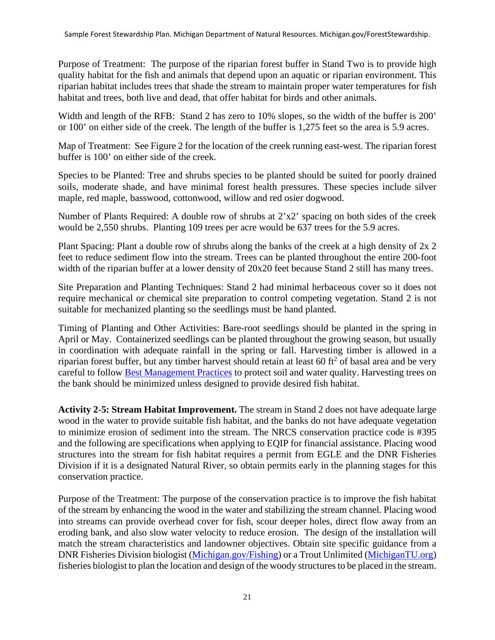Purpose of Treatment: The purpose of the riparian forest buffer in Stand Two is to provide high quality habitat for the fish and animals that depend upon an aquatic or riparian environment. This riparian habitat includes trees that shade the stream to maintain proper water temperatures for fish habitat and trees, both live and dead, that offer habitat for birds and other animals.

Width and length of the RFB: Stand 2 has zero to 10% slopes, so the width of the buffer is 200' or 100' on either side of the creek. The length of the buffer is 1,275 feet so the area is 5.9 acres.

Map of Treatment: See Figure 2 for the location of the creek running east-west. The riparian forest buffer is 100' on either side of the creek.

Species to be Planted: Tree and shrubs species to be planted should be suited for poorly drained soils, moderate shade, and have minimal forest health pressures. These species include silver maple, red maple, basswood, cottonwood, willow and red osier dogwood.

Number of Plants Required: A double row of shrubs at 2'x2' spacing on both sides of the creek would be 2,550 shrubs. Planting 109 trees per acre would be 637 trees for the 5.9 acres.

Plant Spacing: Plant a double row of shrubs along the banks of the creek at a high density of 2x 2 feet to reduce sediment flow into the stream. Trees can be planted throughout the entire 200-foot width of the riparian buffer at a lower density of 20x20 feet because Stand 2 still has many trees.

Site Preparation and Planting Techniques: Stand 2 had minimal herbaceous cover so it does not require mechanical or chemical site preparation to control competing vegetation. Stand 2 is not suitable for mechanized planting so the seedlings must be hand planted.

Timing of Planting and Other Activities: Bare-root seedlings should be planted in the spring in April or May. Containerized seedlings can be planted throughout the growing season, but usually in coordination with adequate rainfall in the spring or fall. Harvesting timber is allowed in a riparian forest buffer, but any timber harvest should retain at least 60 ft<sup>2</sup> of basal area and be very careful to follow **Best Management Practices** to protect soil and water quality. Harvesting trees on the bank should be minimized unless designed to provide desired fish habitat.

**Activity 2-5: Stream Habitat Improvement.** The stream in Stand 2 does not have adequate large wood in the water to provide suitable fish habitat, and the banks do not have adequate vegetation to minimize erosion of sediment into the stream. The NRCS conservation practice code is #395 and the following are specifications when applying to EQIP for financial assistance. Placing wood structures into the stream for fish habitat requires a permit from EGLE and the DNR Fisheries Division if it is a designated Natural River, so obtain permits early in the planning stages for this conservation practice.

Purpose of the Treatment: The purpose of the conservation practice is to improve the fish habitat of the stream by enhancing the wood in the water and stabilizing the stream channel. Placing wood into streams can provide overhead cover for fish, scour deeper holes, direct flow away from an eroding bank, and also slow water velocity to reduce erosion. The design of the installation will match the stream characteristics and landowner objectives. Obtain site specific guidance from a DNR Fisheries Division biologist [\(Michigan.gov/Fishing\)](http://michigan.gov/Fishing) or a Trout Unlimited [\(MichiganTU.org\)](http://www.michigantu.org/) fisheries biologist to plan the location and design of the woody structures to be placed in the stream.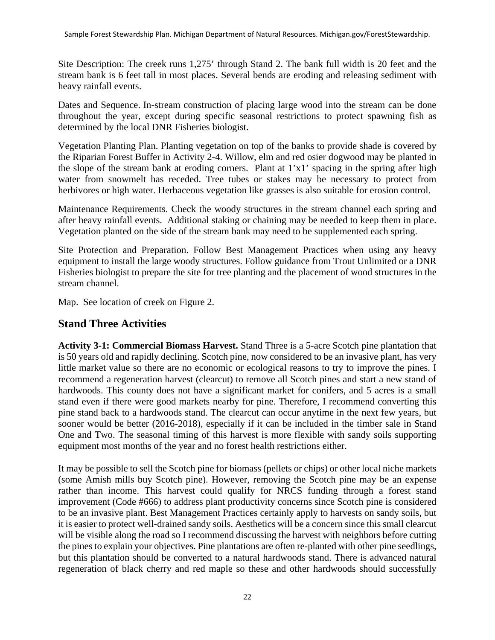Site Description: The creek runs 1,275' through Stand 2. The bank full width is 20 feet and the stream bank is 6 feet tall in most places. Several bends are eroding and releasing sediment with heavy rainfall events.

Dates and Sequence. In-stream construction of placing large wood into the stream can be done throughout the year, except during specific seasonal restrictions to protect spawning fish as determined by the local DNR Fisheries biologist.

Vegetation Planting Plan. Planting vegetation on top of the banks to provide shade is covered by the Riparian Forest Buffer in Activity 2-4. Willow, elm and red osier dogwood may be planted in the slope of the stream bank at eroding corners. Plant at 1'x1' spacing in the spring after high water from snowmelt has receded. Tree tubes or stakes may be necessary to protect from herbivores or high water. Herbaceous vegetation like grasses is also suitable for erosion control.

Maintenance Requirements. Check the woody structures in the stream channel each spring and after heavy rainfall events. Additional staking or chaining may be needed to keep them in place. Vegetation planted on the side of the stream bank may need to be supplemented each spring.

Site Protection and Preparation. Follow Best Management Practices when using any heavy equipment to install the large woody structures. Follow guidance from Trout Unlimited or a DNR Fisheries biologist to prepare the site for tree planting and the placement of wood structures in the stream channel.

Map. See location of creek on Figure 2.

# <span id="page-21-0"></span>**Stand Three Activities**

**Activity 3-1: Commercial Biomass Harvest.** Stand Three is a 5-acre Scotch pine plantation that is 50 years old and rapidly declining. Scotch pine, now considered to be an invasive plant, has very little market value so there are no economic or ecological reasons to try to improve the pines. I recommend a regeneration harvest (clearcut) to remove all Scotch pines and start a new stand of hardwoods. This county does not have a significant market for conifers, and 5 acres is a small stand even if there were good markets nearby for pine. Therefore, I recommend converting this pine stand back to a hardwoods stand. The clearcut can occur anytime in the next few years, but sooner would be better (2016-2018), especially if it can be included in the timber sale in Stand One and Two. The seasonal timing of this harvest is more flexible with sandy soils supporting equipment most months of the year and no forest health restrictions either.

It may be possible to sell the Scotch pine for biomass (pellets or chips) or other local niche markets (some Amish mills buy Scotch pine). However, removing the Scotch pine may be an expense rather than income. This harvest could qualify for NRCS funding through a forest stand improvement (Code #666) to address plant productivity concerns since Scotch pine is considered to be an invasive plant. Best Management Practices certainly apply to harvests on sandy soils, but it is easier to protect well-drained sandy soils. Aesthetics will be a concern since this small clearcut will be visible along the road so I recommend discussing the harvest with neighbors before cutting the pines to explain your objectives. Pine plantations are often re-planted with other pine seedlings, but this plantation should be converted to a natural hardwoods stand. There is advanced natural regeneration of black cherry and red maple so these and other hardwoods should successfully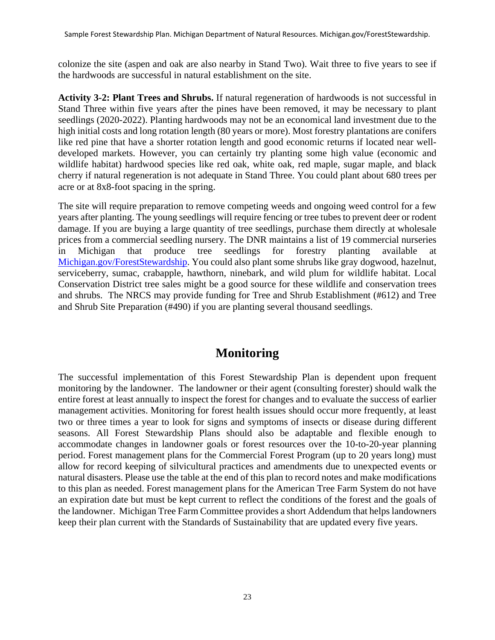colonize the site (aspen and oak are also nearby in Stand Two). Wait three to five years to see if the hardwoods are successful in natural establishment on the site.

**Activity 3-2: Plant Trees and Shrubs.** If natural regeneration of hardwoods is not successful in Stand Three within five years after the pines have been removed, it may be necessary to plant seedlings (2020-2022). Planting hardwoods may not be an economical land investment due to the high initial costs and long rotation length (80 years or more). Most forestry plantations are conifers like red pine that have a shorter rotation length and good economic returns if located near welldeveloped markets. However, you can certainly try planting some high value (economic and wildlife habitat) hardwood species like red oak, white oak, red maple, sugar maple, and black cherry if natural regeneration is not adequate in Stand Three. You could plant about 680 trees per acre or at 8x8-foot spacing in the spring.

The site will require preparation to remove competing weeds and ongoing weed control for a few years after planting. The young seedlings will require fencing or tree tubes to prevent deer or rodent damage. If you are buying a large quantity of tree seedlings, purchase them directly at wholesale prices from a commercial seedling nursery. The DNR maintains a list of 19 commercial nurseries in Michigan that produce tree seedlings for forestry planting available [Michigan.gov/F](http://www.michigan.gov/PrivateForestLand)orestStewardship. You could also plant some shrubs like gray dogwood, hazelnut, serviceberry, sumac, crabapple, hawthorn, ninebark, and wild plum for wildlife habitat. Local Conservation District tree sales might be a good source for these wildlife and conservation trees and shrubs. The NRCS may provide funding for Tree and Shrub Establishment (#612) and Tree and Shrub Site Preparation (#490) if you are planting several thousand seedlings.

# **Monitoring**

<span id="page-22-0"></span>The successful implementation of this Forest Stewardship Plan is dependent upon frequent monitoring by the landowner. The landowner or their agent (consulting forester) should walk the entire forest at least annually to inspect the forest for changes and to evaluate the success of earlier management activities. Monitoring for forest health issues should occur more frequently, at least two or three times a year to look for signs and symptoms of insects or disease during different seasons. All Forest Stewardship Plans should also be adaptable and flexible enough to accommodate changes in landowner goals or forest resources over the 10-to-20-year planning period. Forest management plans for the Commercial Forest Program (up to 20 years long) must allow for record keeping of silvicultural practices and amendments due to unexpected events or natural disasters. Please use the table at the end of this plan to record notes and make modifications to this plan as needed. Forest management plans for the American Tree Farm System do not have an expiration date but must be kept current to reflect the conditions of the forest and the goals of the landowner. Michigan Tree Farm Committee provides a short Addendum that helps landowners keep their plan current with the Standards of Sustainability that are updated every five years.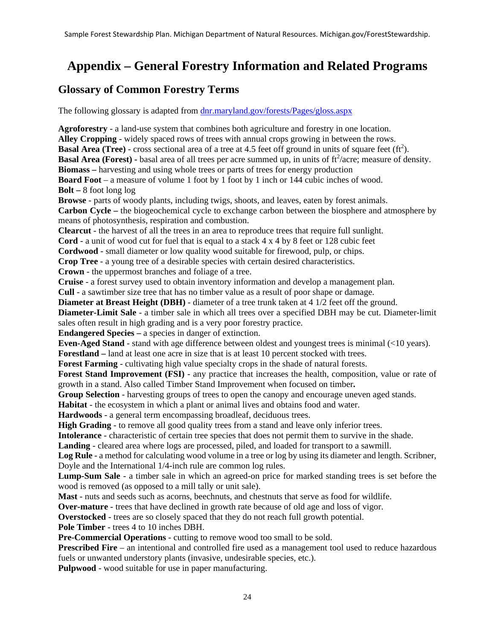# <span id="page-23-0"></span>**Appendix – General Forestry Information and Related Programs**

#### <span id="page-23-1"></span>**Glossary of Common Forestry Terms**

The following glossary is adapted from [dnr.maryland.gov/forests/Pages/gloss.aspx](https://gcc02.safelinks.protection.outlook.com/?url=https%3A%2F%2Fdnr.maryland.gov%2Fforests%2FPages%2Fgloss.aspx&data=04%7C01%7CSmalliganM%40michigan.gov%7C02526c322e35447bb36708d8d40defa7%7Cd5fb7087377742ad966a892ef47225d1%7C0%7C0%7C637492504362453950%7CUnknown%7CTWFpbGZsb3d8eyJWIjoiMC4wLjAwMDAiLCJQIjoiV2luMzIiLCJBTiI6Ik1haWwiLCJXVCI6Mn0%3D%7C1000&sdata=HK3mKrXL9I85Zza61y8waA1H%2BqBhNr5XydHGiB%2BZxIU%3D&reserved=0) 

**Agroforestry** - a land-use system that combines both agriculture and forestry in one location. **Alley Cropping** - widely spaced rows of trees with annual crops growing in between the rows. **Basal Area (Tree)** - cross sectional area of a tree at 4.5 feet off ground in units of square feet  $(ft^2)$ . **Basal Area (Forest) -** basal area of all trees per acre summed up, in units of ft<sup>2</sup>/acre; measure of density. **Biomass –** harvesting and using whole trees or parts of trees for energy production **Board Foot** – a measure of volume 1 foot by 1 foot by 1 inch or 144 cubic inches of wood. **Bolt –** 8 foot long log **Browse** - parts of woody plants, including twigs, shoots, and leaves, eaten by forest animals. **Carbon Cycle –** the biogeochemical cycle to exchange carbon between the biosphere and atmosphere by means of photosynthesis, respiration and combustion. **Clearcut** - the harvest of all the trees in an area to reproduce trees that require full sunlight. **Cord** - a unit of wood cut for fuel that is equal to a stack 4 x 4 by 8 feet or 128 cubic feet **Cordwood** - small diameter or low quality wood suitable for firewood, pulp, or chips. **Crop Tree** - a young tree of a desirable species with certain desired characteristics. **Crown** - the uppermost branches and foliage of a tree. **Cruise** - a forest survey used to obtain inventory information and develop a management plan. **Cull** - a sawtimber size tree that has no timber value as a result of poor shape or damage. **Diameter at Breast Height (DBH)** - diameter of a tree trunk taken at 4 1/2 feet off the ground. **Diameter-Limit Sale** - a timber sale in which all trees over a specified DBH may be cut. Diameter-limit sales often result in high grading and is a very poor forestry practice. **Endangered Species –** a species in danger of extinction. **Even-Aged Stand** - stand with age difference between oldest and youngest trees is minimal (<10 years). **Forestland –** land at least one acre in size that is at least 10 percent stocked with trees. **Forest Farming** - cultivating high value specialty crops in the shade of natural forests. **Forest Stand Improvement (FSI)** - any practice that increases the health, composition, value or rate of growth in a stand. Also called Timber Stand Improvement when focused on timber**. Group Selection** - harvesting groups of trees to open the canopy and encourage uneven aged stands. **Habitat** - the ecosystem in which a plant or animal lives and obtains food and water. **Hardwoods** - a general term encompassing broadleaf, deciduous trees. **High Grading** - to remove all good quality trees from a stand and leave only inferior trees. **Intolerance** - characteristic of certain tree species that does not permit them to survive in the shade. **Landing** - cleared area where logs are processed, piled, and loaded for transport to a sawmill. **Log Rule** - a method for calculating wood volume in a tree or log by using its diameter and length. Scribner, Doyle and the International 1/4-inch rule are common log rules. **Lump-Sum Sale** - a timber sale in which an agreed-on price for marked standing trees is set before the wood is removed (as opposed to a mill tally or unit sale). **Mast** - nuts and seeds such as acorns, beechnuts, and chestnuts that serve as food for wildlife. **Over-mature** - trees that have declined in growth rate because of old age and loss of vigor. **Overstocked** - trees are so closely spaced that they do not reach full growth potential. **Pole Timber** - trees 4 to 10 inches DBH. **Pre-Commercial Operations** - cutting to remove wood too small to be sold. **Prescribed Fire** – an intentional and controlled fire used as a management tool used to reduce hazardous fuels or unwanted understory plants (invasive, undesirable species, etc.).

**Pulpwood** - wood suitable for use in paper manufacturing.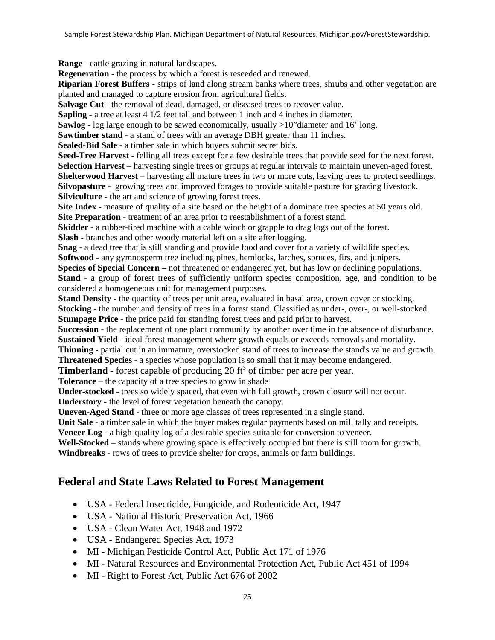**Range** - cattle grazing in natural landscapes.

**Regeneration** - the process by which a forest is reseeded and renewed.

**Riparian Forest Buffers** - strips of land along stream banks where trees, shrubs and other vegetation are planted and managed to capture erosion from agricultural fields.

**Salvage Cut** - the removal of dead, damaged, or diseased trees to recover value.

**Sapling** - a tree at least 4 1/2 feet tall and between 1 inch and 4 inches in diameter.

**Sawlog** - log large enough to be sawed economically, usually >10"diameter and 16' long.

**Sawtimber stand** - a stand of trees with an average DBH greater than 11 inches.

**Sealed-Bid Sale** - a timber sale in which buyers submit secret bids.

**Seed-Tree Harvest** - felling all trees except for a few desirable trees that provide seed for the next forest. **Selection Harvest** – harvesting single trees or groups at regular intervals to maintain uneven-aged forest. **Shelterwood Harvest** – harvesting all mature trees in two or more cuts, leaving trees to protect seedlings. **Silvopasture** - growing trees and improved forages to provide suitable pasture for grazing livestock. **Silviculture** - the art and science of growing forest trees.

**Site Index** - measure of quality of a site based on the height of a dominate tree species at 50 years old. **Site Preparation** - treatment of an area prior to reestablishment of a forest stand.

**Skidder** - a rubber-tired machine with a cable winch or grapple to drag logs out of the forest.

**Slash** - branches and other woody material left on a site after logging.

**Snag** - a dead tree that is still standing and provide food and cover for a variety of wildlife species. **Softwood** - any gymnosperm tree including pines, hemlocks, larches, spruces, firs, and junipers.

**Species of Special Concern –** not threatened or endangered yet, but has low or declining populations.

**Stand** - a group of forest trees of sufficiently uniform species composition, age, and condition to be considered a homogeneous unit for management purposes.

**Stand Density** - the quantity of trees per unit area, evaluated in basal area, crown cover or stocking. **Stocking** - the number and density of trees in a forest stand. Classified as under-, over-, or well-stocked. **Stumpage Price** - the price paid for standing forest trees and paid prior to harvest.

**Succession** - the replacement of one plant community by another over time in the absence of disturbance. **Sustained Yield** - ideal forest management where growth equals or exceeds removals and mortality.

**Thinning** - partial cut in an immature, overstocked stand of trees to increase the stand's value and growth.

**Threatened Species** - a species whose population is so small that it may become endangered.

**Timberland** - forest capable of producing 20 ft<sup>3</sup> of timber per acre per year.

**Tolerance** – the capacity of a tree species to grow in shade

**Under-stocked** - trees so widely spaced, that even with full growth, crown closure will not occur.

**Understory** - the level of forest vegetation beneath the canopy.

**Uneven-Aged Stand** - three or more age classes of trees represented in a single stand.

**Unit Sale** - a timber sale in which the buyer makes regular payments based on mill tally and receipts.

**Veneer Log** - a high-quality log of a desirable species suitable for conversion to veneer.

**Well-Stocked** – stands where growing space is effectively occupied but there is still room for growth. **Windbreaks** - rows of trees to provide shelter for crops, animals or farm buildings.

#### <span id="page-24-0"></span>**Federal and State Laws Related to Forest Management**

- USA Federal Insecticide, Fungicide, and Rodenticide Act, 1947
- USA National Historic Preservation Act, 1966
- USA Clean Water Act, 1948 and 1972
- USA Endangered Species Act, 1973
- MI Michigan Pesticide Control Act, Public Act 171 of 1976
- MI Natural Resources and Environmental Protection Act, Public Act 451 of 1994
- MI Right to Forest Act, Public Act 676 of 2002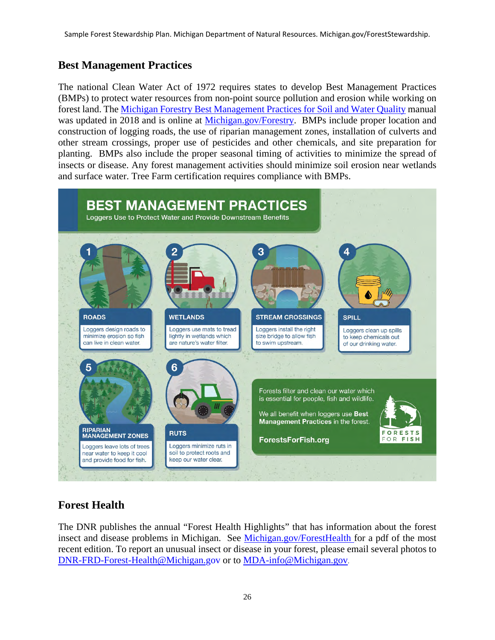# <span id="page-25-0"></span>**Best Management Practices**

The national Clean Water Act of 1972 requires states to develop Best Management Practices (BMPs) to protect water resources from non-point source pollution and erosion while working on forest land. The [Michigan Forestry Best Management Practices for Soil and Water Quality](https://www.michigan.gov/documents/dnr/IC4011_SustainableSoilAndWaterQualityPracticesOnForestLand_268417_7.pdf) manual was updated in 2018 and is online at [Michigan.gov/F](http://www.michigan.gov/PrivateForestLand)orestry. BMPs include proper location and construction of logging roads, the use of riparian management zones, installation of culverts and other stream crossings, proper use of pesticides and other chemicals, and site preparation for planting. BMPs also include the proper seasonal timing of activities to minimize the spread of insects or disease. Any forest management activities should minimize soil erosion near wetlands and surface water. Tree Farm certification requires compliance with BMPs.



# <span id="page-25-1"></span>**Forest Health**

The DNR publishes the annual "Forest Health Highlights" that has information about the forest insect and disease problems in Michigan. See [Michigan.gov/ForestHealth](http://www.michigan.gov/ForestHealth) for a pdf of the most recent edition. To report an unusual insect or disease in your forest, please email several photos to [DNR-FRD-Forest-Health@Michigan.gov](mailto:DNR-FRD-Forest-Health@Michigan.gov) or to [MDA-info@Michigan.gov.](mailto:MDA-info@Michigan.gov)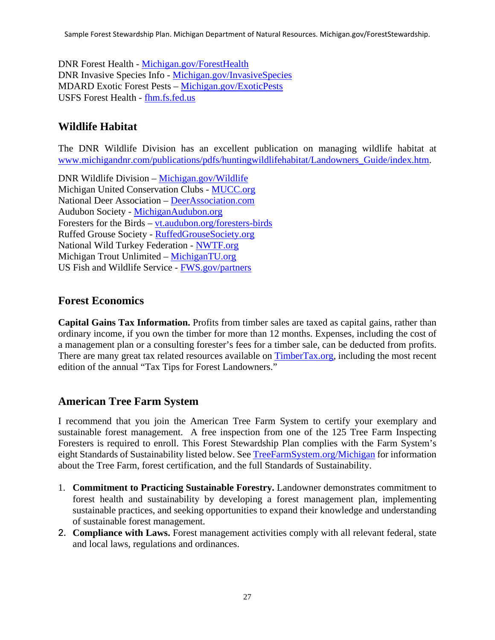Sample Forest Stewardship Plan. Michigan Department of Natural Resources. Michigan.gov/ForestStewardship.

DNR Forest Health - [Michigan.gov/ForestHealth](http://www.michigan.gov/ForestHealth) DNR Invasive Species Info - [Michigan.gov/InvasiveSpecies](http://www.michigan.gov/InvasiveSpecies) MDARD Exotic Forest Pests – [Michigan.gov/ExoticPests](http://www.michigan.gov/ExoticPests)  USFS Forest Health - [fhm.fs.fed.us](http://fhm.fs.fed.us/) 

#### <span id="page-26-0"></span>**Wildlife Habitat**

The DNR Wildlife Division has an excellent publication on managing wildlife habitat at [www.michigandnr.com/publications/pdfs/huntingwildlifehabitat/Landowners\\_Guide/index.htm.](http://www.michigandnr.com/publications/pdfs/huntingwildlifehabitat/Landowners_Guide/index.htm)

DNR Wildlife Division – [Michigan.gov/W](http://www.michigan.gov/)ildlife Michigan United Conservation Clubs - [MUCC.org](https://mucc.org/) National Deer Association – [DeerAssociation.com](https://www.deerassociation.com/)  Audubon Society - [MichiganAudubon.org](http://www.michiganaudubon.org/)  Foresters for the Birds – [vt.audubon.org/foresters-birds](http://vt.audubon.org/foresters-birds)  Ruffed Grouse Society - [RuffedGrouseSociety.org](http://www.ruffedgrousesociety.org/)  National Wild Turkey Federation - [NWTF.org](http://www.nwtf.org/)  Michigan Trout Unlimited – [MichiganTU.org](http://www.michigantu.org/)  US Fish and Wildlife Service - [FWS.gov/partners](http://www.fws.gov/partners) 

#### <span id="page-26-1"></span>**Forest Economics**

**Capital Gains Tax Information.** Profits from timber sales are taxed as capital gains, rather than ordinary income, if you own the timber for more than 12 months. Expenses, including the cost of a management plan or a consulting forester's fees for a timber sale, can be deducted from profits. There are many great tax related resources available on [TimberTax.org,](http://www.timbertax.org/) including the most recent edition of the annual "Tax Tips for Forest Landowners."

#### <span id="page-26-2"></span>**American Tree Farm System**

I recommend that you join the American Tree Farm System to certify your exemplary and sustainable forest management. A free inspection from one of the 125 Tree Farm Inspecting Foresters is required to enroll. This Forest Stewardship Plan complies with the Farm System's eight Standards of Sustainability listed below. See [TreeFarmSystem.org/](http://www.treefarmsystem.org/Michigan)Michigan for information about the Tree Farm, forest certification, and the full Standards of Sustainability.

- 1. **Commitment to Practicing Sustainable Forestry.** Landowner demonstrates commitment to forest health and sustainability by developing a forest management plan, implementing sustainable practices, and seeking opportunities to expand their knowledge and understanding of sustainable forest management.
- 2. **Compliance with Laws.** Forest management activities comply with all relevant federal, state and local laws, regulations and ordinances.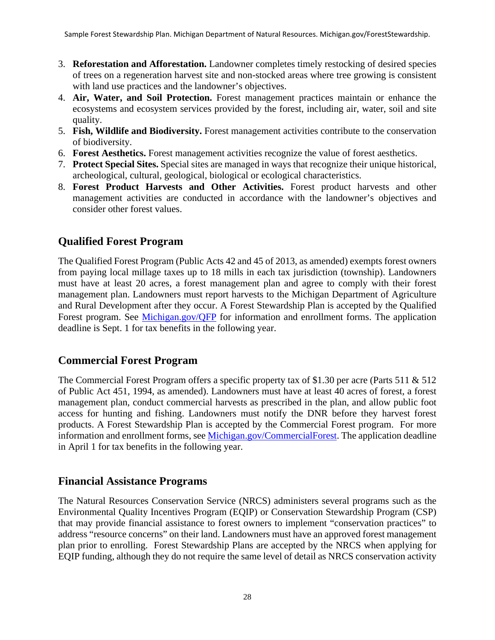- 3. **Reforestation and Afforestation.** Landowner completes timely restocking of desired species of trees on a regeneration harvest site and non-stocked areas where tree growing is consistent with land use practices and the landowner's objectives.
- 4. **Air, Water, and Soil Protection.** Forest management practices maintain or enhance the ecosystems and ecosystem services provided by the forest, including air, water, soil and site quality.
- 5. **Fish, Wildlife and Biodiversity.** Forest management activities contribute to the conservation of biodiversity.
- 6. **Forest Aesthetics.** Forest management activities recognize the value of forest aesthetics.
- 7. **Protect Special Sites.** Special sites are managed in ways that recognize their unique historical, archeological, cultural, geological, biological or ecological characteristics.
- 8. **Forest Product Harvests and Other Activities.** Forest product harvests and other management activities are conducted in accordance with the landowner's objectives and consider other forest values.

# <span id="page-27-0"></span>**Qualified Forest Program**

The Qualified Forest Program (Public Acts 42 and 45 of 2013, as amended) exempts forest owners from paying local millage taxes up to 18 mills in each tax jurisdiction (township). Landowners must have at least 20 acres, a forest management plan and agree to comply with their forest management plan. Landowners must report harvests to the Michigan Department of Agriculture and Rural Development after they occur. A Forest Stewardship Plan is accepted by the Qualified Forest program. See [Michigan.gov/QFP](http://www.michigan.gov/QFP) for information and enrollment forms. The application deadline is Sept. 1 for tax benefits in the following year.

#### <span id="page-27-1"></span>**Commercial Forest Program**

The Commercial Forest Program offers a specific property tax of \$1.30 per acre (Parts 511 & 512 of Public Act 451, 1994, as amended). Landowners must have at least 40 acres of forest, a forest management plan, conduct commercial harvests as prescribed in the plan, and allow public foot access for hunting and fishing. Landowners must notify the DNR before they harvest forest products. A Forest Stewardship Plan is accepted by the Commercial Forest program. For more information and enrollment forms, see [Michigan.gov/CommercialForest.](http://www.michigan.gov/CommercialForest) The application deadline in April 1 for tax benefits in the following year.

#### <span id="page-27-2"></span>**Financial Assistance Programs**

The Natural Resources Conservation Service (NRCS) administers several programs such as the Environmental Quality Incentives Program (EQIP) or Conservation Stewardship Program (CSP) that may provide financial assistance to forest owners to implement "conservation practices" to address "resource concerns" on their land. Landowners must have an approved forest management plan prior to enrolling. Forest Stewardship Plans are accepted by the NRCS when applying for EQIP funding, although they do not require the same level of detail as NRCS conservation activity